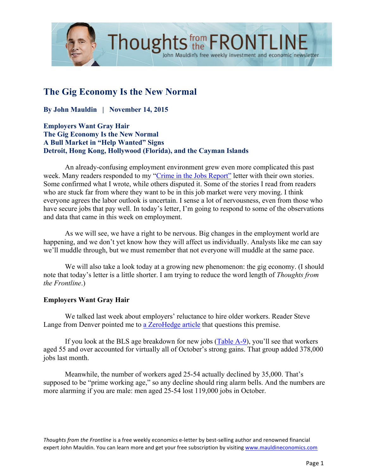

# **The Gig Economy Is the New Normal**

**By John Mauldin | November 14, 2015**

**Employers Want Gray Hair The Gig Economy Is the New Normal A Bull Market in "Help Wanted" Signs Detroit, Hong Kong, Hollywood (Florida), and the Cayman Islands**

An already-confusing employment environment grew even more complicated this past week. Many readers responded to my ["Crime in the Jobs Report"](http://www.mauldineconomics.com/frontlinethoughts/crime-in-the-jobs-report) letter with their own stories. Some confirmed what I wrote, while others disputed it. Some of the stories I read from readers who are stuck far from where they want to be in this job market were very moving. I think everyone agrees the labor outlook is uncertain. I sense a lot of nervousness, even from those who have secure jobs that pay well. In today's letter, I'm going to respond to some of the observations and data that came in this week on employment.

John Mauldin's free weekly investment and economic newsletter

As we will see, we have a right to be nervous. Big changes in the employment world are happening, and we don't yet know how they will affect us individually. Analysts like me can say we'll muddle through, but we must remember that not everyone will muddle at the same pace.

We will also take a look today at a growing new phenomenon: the gig economy. (I should note that today's letter is a little shorter. I am trying to reduce the word length of *Thoughts from the Frontline*.)

### **Employers Want Gray Hair**

We talked last week about employers' reluctance to hire older workers. Reader Steve Lange from Denver pointed me to [a ZeroHedge article](http://www.zerohedge.com/news/2015-11-06/most-surprising-thing-about-todays-jobs-report) that questions this premise.

If you look at the BLS age breakdown for new jobs [\(Table A-9\)](http://www.bls.gov/news.release/empsit.t09.htm), you'll see that workers aged 55 and over accounted for virtually all of October's strong gains. That group added 378,000 jobs last month.

Meanwhile, the number of workers aged 25-54 actually declined by 35,000. That's supposed to be "prime working age," so any decline should ring alarm bells. And the numbers are more alarming if you are male: men aged 25-54 lost 119,000 jobs in October.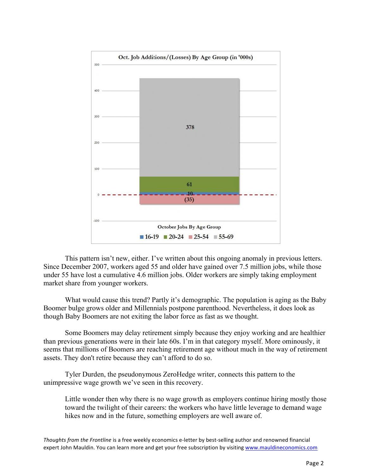

This pattern isn't new, either. I've written about this ongoing anomaly in previous letters. Since December 2007, workers aged 55 and older have gained over 7.5 million jobs, while those under 55 have lost a cumulative 4.6 million jobs. Older workers are simply taking employment market share from younger workers.

What would cause this trend? Partly it's demographic. The population is aging as the Baby Boomer bulge grows older and Millennials postpone parenthood. Nevertheless, it does look as though Baby Boomers are not exiting the labor force as fast as we thought.

Some Boomers may delay retirement simply because they enjoy working and are healthier than previous generations were in their late 60s. I'm in that category myself. More ominously, it seems that millions of Boomers are reaching retirement age without much in the way of retirement assets. They don't retire because they can't afford to do so.

Tyler Durden, the pseudonymous ZeroHedge writer, connects this pattern to the unimpressive wage growth we've seen in this recovery.

Little wonder then why there is no wage growth as employers continue hiring mostly those toward the twilight of their careers: the workers who have little leverage to demand wage hikes now and in the future, something employers are well aware of.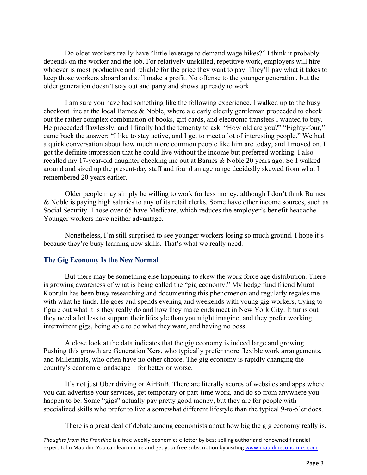Do older workers really have "little leverage to demand wage hikes?" I think it probably depends on the worker and the job. For relatively unskilled, repetitive work, employers will hire whoever is most productive and reliable for the price they want to pay. They'll pay what it takes to keep those workers aboard and still make a profit. No offense to the younger generation, but the older generation doesn't stay out and party and shows up ready to work.

I am sure you have had something like the following experience. I walked up to the busy checkout line at the local Barnes & Noble, where a clearly elderly gentleman proceeded to check out the rather complex combination of books, gift cards, and electronic transfers I wanted to buy. He proceeded flawlessly, and I finally had the temerity to ask, "How old are you?" "Eighty-four," came back the answer; "I like to stay active, and I get to meet a lot of interesting people." We had a quick conversation about how much more common people like him are today, and I moved on. I got the definite impression that he could live without the income but preferred working. I also recalled my 17-year-old daughter checking me out at Barnes & Noble 20 years ago. So I walked around and sized up the present-day staff and found an age range decidedly skewed from what I remembered 20 years earlier.

Older people may simply be willing to work for less money, although I don't think Barnes & Noble is paying high salaries to any of its retail clerks. Some have other income sources, such as Social Security. Those over 65 have Medicare, which reduces the employer's benefit headache. Younger workers have neither advantage.

Nonetheless, I'm still surprised to see younger workers losing so much ground. I hope it's because they're busy learning new skills. That's what we really need.

### **The Gig Economy Is the New Normal**

But there may be something else happening to skew the work force age distribution. There is growing awareness of what is being called the "gig economy." My hedge fund friend Murat Koprulu has been busy researching and documenting this phenomenon and regularly regales me with what he finds. He goes and spends evening and weekends with young gig workers, trying to figure out what it is they really do and how they make ends meet in New York City. It turns out they need a lot less to support their lifestyle than you might imagine, and they prefer working intermittent gigs, being able to do what they want, and having no boss.

A close look at the data indicates that the gig economy is indeed large and growing. Pushing this growth are Generation Xers, who typically prefer more flexible work arrangements, and Millennials, who often have no other choice. The gig economy is rapidly changing the country's economic landscape – for better or worse.

It's not just Uber driving or AirBnB. There are literally scores of websites and apps where you can advertise your services, get temporary or part-time work, and do so from anywhere you happen to be. Some "gigs" actually pay pretty good money, but they are for people with specialized skills who prefer to live a somewhat different lifestyle than the typical 9-to-5'er does.

There is a great deal of debate among economists about how big the gig economy really is.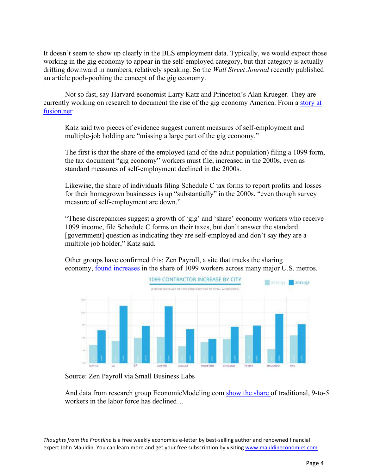It doesn't seem to show up clearly in the BLS employment data. Typically, we would expect those working in the gig economy to appear in the self-employed category, but that category is actually drifting downward in numbers, relatively speaking. So the *Wall Street Journal* recently published an article pooh-poohing the concept of the gig economy.

Not so fast, say Harvard economist Larry Katz and Princeton's Alan Krueger. They are [currently working on research to document the rise of the gig economy America. From a story at](http://fusion.net/story/173244/there-are-probably-way-more-people-in-the-gig-economy-than-we-realize/)  fusion.net:

Katz said two pieces of evidence suggest current measures of self-employment and multiple-job holding are "missing a large part of the gig economy."

The first is that the share of the employed (and of the adult population) filing a 1099 form, the tax document "gig economy" workers must file, increased in the 2000s, even as standard measures of self-employment declined in the 2000s.

Likewise, the share of individuals filing Schedule C tax forms to report profits and losses for their homegrown businesses is up "substantially" in the 2000s, "even though survey measure of self-employment are down."

"These discrepancies suggest a growth of 'gig' and 'share' economy workers who receive 1099 income, file Schedule C forms on their taxes, but don't answer the standard [government] question as indicating they are self-employed and don't say they are a multiple job holder," Katz said.

Other groups have confirmed this: Zen Payroll, a site that tracks the sharing economy, [found increases](http://www.smallbizlabs.com/2014/11/small-businesses-hiring-more-independent-workers.html) in the share of 1099 workers across many major U.S. metros.



Source: Zen Payroll via Small Business Labs

And data from research group EconomicModeling.com [show the share](http://fusion.net/story/34444/like-tinder-but-for-creative-professionals-how-thumbtack-is-remaking-the-gig-economy/) of traditional, 9-to-5 workers in the labor force has declined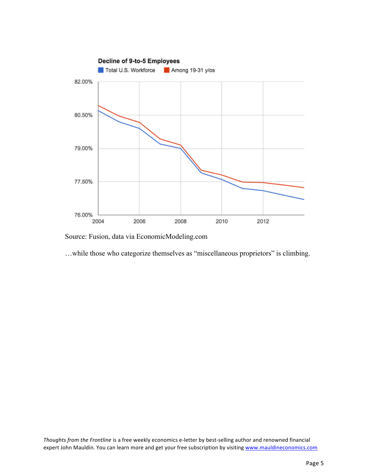

Source: Fusion, data via EconomicModeling.com

…while those who categorize themselves as "miscellaneous proprietors" is climbing.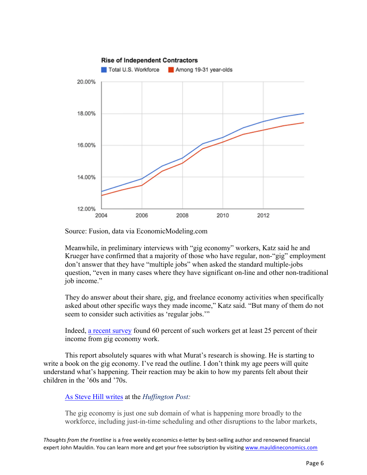

Source: Fusion, data via EconomicModeling.com

Meanwhile, in preliminary interviews with "gig economy" workers, Katz said he and Krueger have confirmed that a majority of those who have regular, non-"gig" employment don't answer that they have "multiple jobs" when asked the standard multiple-jobs question, "even in many cases where they have significant on-line and other non-traditional job income."

They do answer about their share, gig, and freelance economy activities when specifically asked about other specific ways they made income," Katz said. "But many of them do not seem to consider such activities as 'regular jobs.'"

Indeed, [a recent survey](http://fusion.net/story/137028/the-hidden-anxieties-of-the-on-demand-start-up-worker/) found 60 percent of such workers get at least 25 percent of their income from gig economy work.

This report absolutely squares with what Murat's research is showing. He is starting to write a book on the gig economy. I've read the outline. I don't think my age peers will quite understand what's happening. Their reaction may be akin to how my parents felt about their children in the '60s and '70s.

### [As Steve Hill writes](http://www.huffingtonpost.com/steven-hill/how-big-is-the-gig-econom_b_8147740.html) at the *Huffington Post:*

The gig economy is just one sub domain of what is happening more broadly to the workforce, including just-in-time scheduling and other disruptions to the labor markets,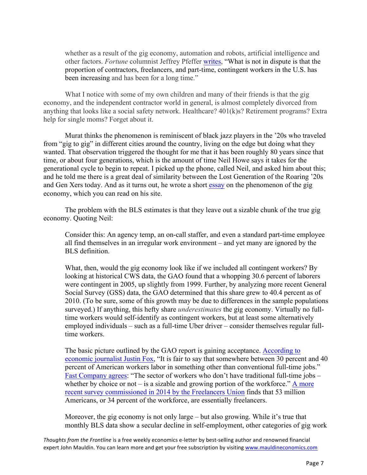whether as a result of the gig economy, automation and robots, artificial intelligence and other factors. *Fortune* columnist Jeffrey Pfeffer [writes,](http://fortune.com/2015/07/30/freelance-vs-full-time-employees/) "What is not in dispute is that the proportion of contractors, freelancers, and part-time, contingent workers in the U.S. has been increasing and has been for a long time."

What I notice with some of my own children and many of their friends is that the gig economy, and the independent contractor world in general, is almost completely divorced from anything that looks like a social safety network. Healthcare? 401(k)s? Retirement programs? Extra help for single moms? Forget about it.

Murat thinks the phenomenon is reminiscent of black jazz players in the '20s who traveled from "gig to gig" in different cities around the country, living on the edge but doing what they wanted. That observation triggered the thought for me that it has been roughly 80 years since that time, or about four generations, which is the amount of time Neil Howe says it takes for the generational cycle to begin to repeat. I picked up the phone, called Neil, and asked him about this; and he told me there is a great deal of similarity between the Lost Generation of the Roaring '20s and Gen Xers today. And as it turns out, he wrote a short [essay](http://www.saeculumresearch.com/publications/reports/si/15-09-02-the-gig-economy-is-alive-and-growing) on the phenomenon of the gig economy, which you can read on his site.

The problem with the BLS estimates is that they leave out a sizable chunk of the true gig economy. Quoting Neil:

Consider this: An agency temp, an on-call staffer, and even a standard part-time employee all find themselves in an irregular work environment – and yet many are ignored by the BLS definition.

What, then, would the gig economy look like if we included all contingent workers? By looking at historical CWS data, the GAO found that a whopping 30.6 percent of laborers were contingent in 2005, up slightly from 1999. Further, by analyzing more recent General Social Survey (GSS) data, the GAO determined that this share grew to 40.4 percent as of 2010. (To be sure, some of this growth may be due to differences in the sample populations surveyed.) If anything, this hefty share *underestimates* the gig economy. Virtually no fulltime workers would self-identify as contingent workers, but at least some alternatively employed individuals – such as a full-time Uber driver – consider themselves regular fulltime workers.

[The basic picture outlined by the GAO report is gaining acceptance. According to](http://www.bloombergview.com/articles/2015-08-26/gig-economy-hasn-t-taken-over-job-market-yet)  economic journalist Justin Fox, "It is fair to say that somewhere between 30 percent and 40 percent of American workers labor in something other than conventional full-time jobs." [Fast Company](http://www.fastcompany.com/3047238/why-policy-makers-need-to-pay-attention-to-the-freelance-movement) agrees: "The sector of workers who don't have traditional full-time jobs – whether by choice or not – is a sizable and growing portion of the workforce." A more [recent survey commissioned in 2014 by the Freelancers Union](http://fu-web-storage-prod.s3.amazonaws.com/content/filer_public/c2/06/c2065a8a-7f00-46db-915a-2122965df7d9/fu_freelancinginamericareport_v3-rgb.pdf) finds that 53 million Americans, or 34 percent of the workforce, are essentially freelancers.

Moreover, the gig economy is not only large – but also growing. While it's true that monthly BLS data show a secular decline in self-employment, other categories of gig work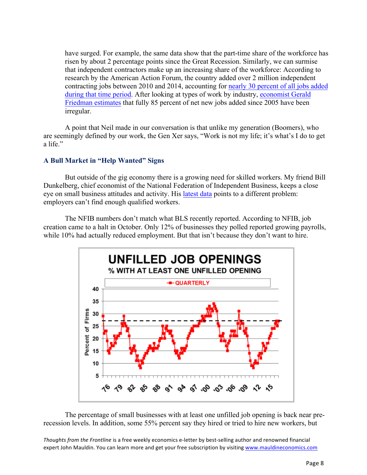have surged. For example, the same data show that the part-time share of the workforce has risen by about 2 percentage points since the Great Recession. Similarly, we can surmise that independent contractors make up an increasing share of the workforce: According to research by the American Action Forum, the country added over 2 million independent contracting jobs between 2010 and 2014, accounting fo[r nearly 30 percent of all jobs added](http://americanactionforum.org/research/independent-contractors-and-the-emerging-gig-economy)  [during that time period.](http://americanactionforum.org/research/independent-contractors-and-the-emerging-gig-economy) After looking at types of work by industry, [economist Gerald](http://dollarsandsense.org/archives/2014/0314friedman.html)  [Friedman estimates](http://dollarsandsense.org/archives/2014/0314friedman.html) that fully 85 percent of net new jobs added since 2005 have been irregular.

A point that Neil made in our conversation is that unlike my generation (Boomers), who are seemingly defined by our work, the Gen Xer says, "Work is not my life; it's what's I do to get a life."

## **A Bull Market in "Help Wanted" Signs**

But outside of the gig economy there is a growing need for skilled workers. My friend Bill Dunkelberg, chief economist of the National Federation of Independent Business, keeps a close eye on small business attitudes and activity. His [latest data](http://www.nfib.com/Portals/0/pdf/sbet/sbet201511.pdf) points to a different problem: employers can't find enough qualified workers.

The NFIB numbers don't match what BLS recently reported. According to NFIB, job creation came to a halt in October. Only 12% of businesses they polled reported growing payrolls, while 10% had actually reduced employment. But that isn't because they don't want to hire.



The percentage of small businesses with at least one unfilled job opening is back near prerecession levels. In addition, some 55% percent say they hired or tried to hire new workers, but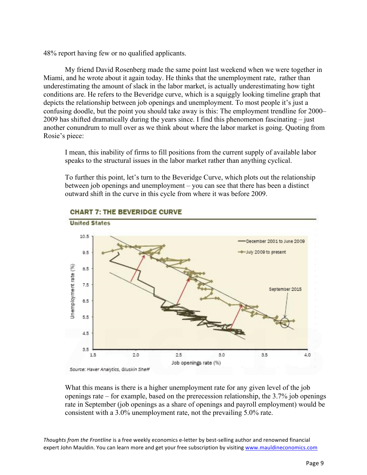48% report having few or no qualified applicants.

My friend David Rosenberg made the same point last weekend when we were together in Miami, and he wrote about it again today. He thinks that the unemployment rate, rather than underestimating the amount of slack in the labor market, is actually underestimating how tight conditions are. He refers to the Beveridge curve, which is a squiggly looking timeline graph that depicts the relationship between job openings and unemployment. To most people it's just a confusing doodle, but the point you should take away is this: The employment trendline for 2000– 2009 has shifted dramatically during the years since. I find this phenomenon fascinating – just another conundrum to mull over as we think about where the labor market is going. Quoting from Rosie's piece:

I mean, this inability of firms to fill positions from the current supply of available labor speaks to the structural issues in the labor market rather than anything cyclical.

To further this point, let's turn to the Beveridge Curve, which plots out the relationship between job openings and unemployment – you can see that there has been a distinct outward shift in the curve in this cycle from where it was before 2009.



## **CHART 7: THE BEVERIDGE CURVE**

What this means is there is a higher unemployment rate for any given level of the job openings rate – for example, based on the prerecession relationship, the 3.7% job openings rate in September (job openings as a share of openings and payroll employment) would be consistent with a 3.0% unemployment rate, not the prevailing 5.0% rate.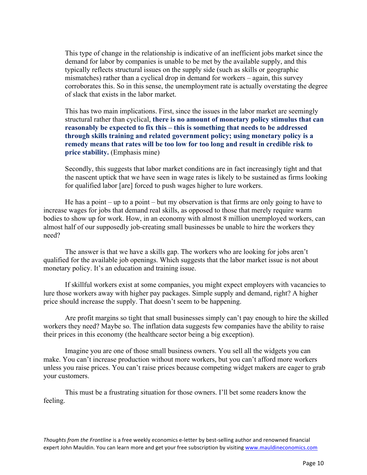This type of change in the relationship is indicative of an inefficient jobs market since the demand for labor by companies is unable to be met by the available supply, and this typically reflects structural issues on the supply side (such as skills or geographic mismatches) rather than a cyclical drop in demand for workers – again, this survey corroborates this. So in this sense, the unemployment rate is actually overstating the degree of slack that exists in the labor market.

This has two main implications. First, since the issues in the labor market are seemingly structural rather than cyclical, **there is no amount of monetary policy stimulus that can reasonably be expected to fix this – this is something that needs to be addressed through skills training and related government policy; using monetary policy is a remedy means that rates will be too low for too long and result in credible risk to price stability.** (Emphasis mine)

Secondly, this suggests that labor market conditions are in fact increasingly tight and that the nascent uptick that we have seen in wage rates is likely to be sustained as firms looking for qualified labor [are] forced to push wages higher to lure workers.

He has a point – up to a point – but my observation is that firms are only going to have to increase wages for jobs that demand real skills, as opposed to those that merely require warm bodies to show up for work. How, in an economy with almost 8 million unemployed workers, can almost half of our supposedly job-creating small businesses be unable to hire the workers they need?

The answer is that we have a skills gap. The workers who are looking for jobs aren't qualified for the available job openings. Which suggests that the labor market issue is not about monetary policy. It's an education and training issue.

If skillful workers exist at some companies, you might expect employers with vacancies to lure those workers away with higher pay packages. Simple supply and demand, right? A higher price should increase the supply. That doesn't seem to be happening.

Are profit margins so tight that small businesses simply can't pay enough to hire the skilled workers they need? Maybe so. The inflation data suggests few companies have the ability to raise their prices in this economy (the healthcare sector being a big exception).

Imagine you are one of those small business owners. You sell all the widgets you can make. You can't increase production without more workers, but you can't afford more workers unless you raise prices. You can't raise prices because competing widget makers are eager to grab your customers.

This must be a frustrating situation for those owners. I'll bet some readers know the feeling.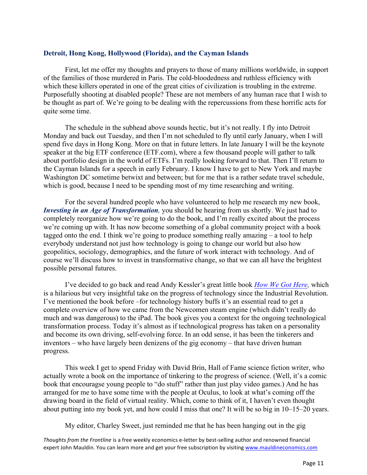### **Detroit, Hong Kong, Hollywood (Florida), and the Cayman Islands**

First, let me offer my thoughts and prayers to those of many millions worldwide, in support of the families of those murdered in Paris. The cold-bloodedness and ruthless efficiency with which these killers operated in one of the great cities of civilization is troubling in the extreme. Purposefully shooting at disabled people? These are not members of any human race that I wish to be thought as part of. We're going to be dealing with the repercussions from these horrific acts for quite some time.

The schedule in the subhead above sounds hectic, but it's not really. I fly into Detroit Monday and back out Tuesday, and then I'm not scheduled to fly until early January, when I will spend five days in Hong Kong. More on that in future letters. In late January I will be the keynote speaker at the big ETF conference (ETF.com), where a few thousand people will gather to talk about portfolio design in the world of ETFs. I'm really looking forward to that. Then I'll return to the Cayman Islands for a speech in early February. I know I have to get to New York and maybe Washington DC sometime betwixt and between; but for me that is a rather sedate travel schedule, which is good, because I need to be spending most of my time researching and writing.

For the several hundred people who have volunteered to help me research my new book, *Investing in an Age of Transformation*, you should be hearing from us shortly. We just had to completely reorganize how we're going to do the book, and I'm really excited about the process we're coming up with. It has now become something of a global community project with a book tagged onto the end. I think we're going to produce something really amazing – a tool to help everybody understand not just how technology is going to change our world but also how geopolitics, sociology, demographics, and the future of work interact with technology. And of course we'll discuss how to invest in transformative change, so that we can all have the brightest possible personal futures.

I've decided to go back and read Andy Kessler's great little book *[How We Got Here,](http://www.amazon.com/How-Got-Here-Irreverent-Technology/dp/0060840978)* which is a hilarious but very insightful take on the progress of technology since the Industrial Revolution. I've mentioned the book before –for technology history buffs it's an essential read to get a complete overview of how we came from the Newcomen steam engine (which didn't really do much and was dangerous) to the iPad. The book gives you a context for the ongoing technological transformation process. Today it's almost as if technological progress has taken on a personality and become its own driving, self-evolving force. In an odd sense, it has been the tinkerers and inventors – who have largely been denizens of the gig economy – that have driven human progress.

This week I get to spend Friday with David Brin, Hall of Fame science fiction writer, who actually wrote a book on the importance of tinkering to the progress of science. (Well, it's a comic book that encouragse young people to "do stuff" rather than just play video games.) And he has arranged for me to have some time with the people at Oculus, to look at what's coming off the drawing board in the field of virtual reality. Which, come to think of it, I haven't even thought about putting into my book yet, and how could I miss that one? It will be so big in 10–15–20 years.

My editor, Charley Sweet, just reminded me that he has been hanging out in the gig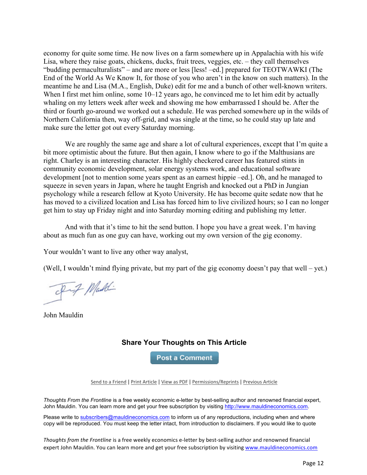economy for quite some time. He now lives on a farm somewhere up in Appalachia with his wife Lisa, where they raise goats, chickens, ducks, fruit trees, veggies, etc. – they call themselves "budding permaculturalists" – and are more or less [less! –ed.] prepared for TEOTWAWKI (The End of the World As We Know It, for those of you who aren't in the know on such matters). In the meantime he and Lisa (M.A., English, Duke) edit for me and a bunch of other well-known writers. When I first met him online, some 10–12 years ago, he convinced me to let him edit by actually whaling on my letters week after week and showing me how embarrassed I should be. After the third or fourth go-around we worked out a schedule. He was perched somewhere up in the wilds of Northern California then, way off-grid, and was single at the time, so he could stay up late and make sure the letter got out every Saturday morning.

We are roughly the same age and share a lot of cultural experiences, except that I'm quite a bit more optimistic about the future. But then again, I know where to go if the Malthusians are right. Charley is an interesting character. His highly checkered career has featured stints in community economic development, solar energy systems work, and educational software development [not to mention some years spent as an earnest hippie –ed.]. Oh, and he managed to squeeze in seven years in Japan, where he taught Engrish and knocked out a PhD in Jungian psychology while a research fellow at Kyoto University. He has become quite sedate now that he has moved to a civilized location and Lisa has forced him to live civilized hours; so I can no longer get him to stay up Friday night and into Saturday morning editing and publishing my letter.

And with that it's time to hit the send button. I hope you have a great week. I'm having about as much fun as one guy can have, working out my own version of the gig economy.

Your wouldn't want to live any other way analyst,

(Well, I wouldn't mind flying private, but my part of the gig economy doesn't pay that well – yet.)

Inf Maddi

John Mauldin

## **Share Your Thoughts on This Article**

**Post a Comment** 

Send to a Friend | Print Article | View as PDF | Permissions/Reprints | Previous Article

*Thoughts From the Frontline* is a free weekly economic e-letter by best-selling author and renowned financial expert, John Mauldin. You can learn more and get your free subscription by visiting http://www.mauldineconomics.com.

Please write to subscribers@mauldineconomics.com to inform us of any reproductions, including when and where copy will be reproduced. You must keep the letter intact, from introduction to disclaimers. If you would like to quote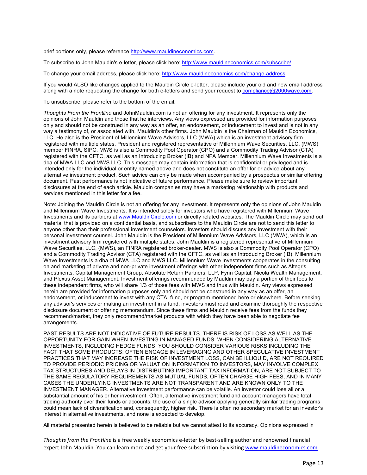brief portions only, please reference http://www.mauldineconomics.com.

To subscribe to John Mauldin's e-letter, please click here: http://www.mauldineconomics.com/subscribe/

To change your email address, please click here: http://www.mauldineconomics.com/change-address

If you would ALSO like changes applied to the Mauldin Circle e-letter, please include your old and new email address along with a note requesting the change for both e-letters and send your request to compliance@2000wave.com.

To unsubscribe, please refer to the bottom of the email.

*Thoughts From the Frontline* and JohnMauldin.com is not an offering for any investment. It represents only the opinions of John Mauldin and those that he interviews. Any views expressed are provided for information purposes only and should not be construed in any way as an offer, an endorsement, or inducement to invest and is not in any way a testimony of, or associated with, Mauldin's other firms. John Mauldin is the Chairman of Mauldin Economics, LLC. He also is the President of Millennium Wave Advisors, LLC (MWA) which is an investment advisory firm registered with multiple states, President and registered representative of Millennium Wave Securities, LLC, (MWS) member FINRA, SIPC. MWS is also a Commodity Pool Operator (CPO) and a Commodity Trading Advisor (CTA) registered with the CFTC, as well as an Introducing Broker (IB) and NFA Member. Millennium Wave Investments is a dba of MWA LLC and MWS LLC. This message may contain information that is confidential or privileged and is intended only for the individual or entity named above and does not constitute an offer for or advice about any alternative investment product. Such advice can only be made when accompanied by a prospectus or similar offering document. Past performance is not indicative of future performance. Please make sure to review important disclosures at the end of each article. Mauldin companies may have a marketing relationship with products and services mentioned in this letter for a fee.

Note: Joining the Mauldin Circle is not an offering for any investment. It represents only the opinions of John Mauldin and Millennium Wave Investments. It is intended solely for investors who have registered with Millennium Wave Investments and its partners at www.MauldinCircle.com or directly related websites. The Mauldin Circle may send out material that is provided on a confidential basis, and subscribers to the Mauldin Circle are not to send this letter to anyone other than their professional investment counselors. Investors should discuss any investment with their personal investment counsel. John Mauldin is the President of Millennium Wave Advisors, LLC (MWA), which is an investment advisory firm registered with multiple states. John Mauldin is a registered representative of Millennium Wave Securities, LLC, (MWS), an FINRA registered broker-dealer. MWS is also a Commodity Pool Operator (CPO) and a Commodity Trading Advisor (CTA) registered with the CFTC, as well as an Introducing Broker (IB). Millennium Wave Investments is a dba of MWA LLC and MWS LLC. Millennium Wave Investments cooperates in the consulting on and marketing of private and non-private investment offerings with other independent firms such as Altegris Investments; Capital Management Group; Absolute Return Partners, LLP; Fynn Capital; Nicola Wealth Management; and Plexus Asset Management. Investment offerings recommended by Mauldin may pay a portion of their fees to these independent firms, who will share 1/3 of those fees with MWS and thus with Mauldin. Any views expressed herein are provided for information purposes only and should not be construed in any way as an offer, an endorsement, or inducement to invest with any CTA, fund, or program mentioned here or elsewhere. Before seeking any advisor's services or making an investment in a fund, investors must read and examine thoroughly the respective disclosure document or offering memorandum. Since these firms and Mauldin receive fees from the funds they recommend/market, they only recommend/market products with which they have been able to negotiate fee arrangements.

PAST RESULTS ARE NOT INDICATIVE OF FUTURE RESULTS. THERE IS RISK OF LOSS AS WELL AS THE OPPORTUNITY FOR GAIN WHEN INVESTING IN MANAGED FUNDS. WHEN CONSIDERING ALTERNATIVE INVESTMENTS, INCLUDING HEDGE FUNDS, YOU SHOULD CONSIDER VARIOUS RISKS INCLUDING THE FACT THAT SOME PRODUCTS: OFTEN ENGAGE IN LEVERAGING AND OTHER SPECULATIVE INVESTMENT PRACTICES THAT MAY INCREASE THE RISK OF INVESTMENT LOSS, CAN BE ILLIQUID, ARE NOT REQUIRED TO PROVIDE PERIODIC PRICING OR VALUATION INFORMATION TO INVESTORS, MAY INVOLVE COMPLEX TAX STRUCTURES AND DELAYS IN DISTRIBUTING IMPORTANT TAX INFORMATION, ARE NOT SUBJECT TO THE SAME REGULATORY REQUIREMENTS AS MUTUAL FUNDS, OFTEN CHARGE HIGH FEES, AND IN MANY CASES THE UNDERLYING INVESTMENTS ARE NOT TRANSPARENT AND ARE KNOWN ONLY TO THE INVESTMENT MANAGER. Alternative investment performance can be volatile. An investor could lose all or a substantial amount of his or her investment. Often, alternative investment fund and account managers have total trading authority over their funds or accounts; the use of a single advisor applying generally similar trading programs could mean lack of diversification and, consequently, higher risk. There is often no secondary market for an investor's interest in alternative investments, and none is expected to develop.

All material presented herein is believed to be reliable but we cannot attest to its accuracy. Opinions expressed in